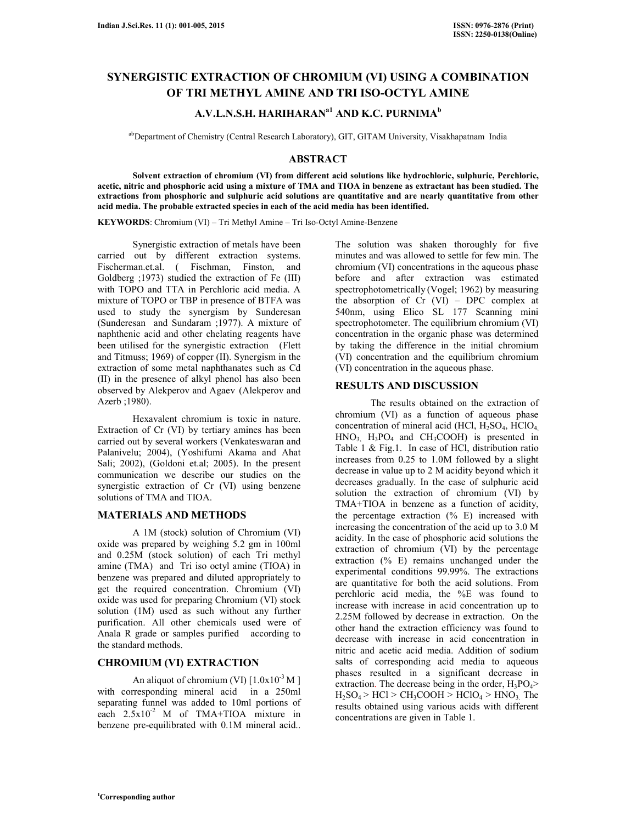# **SYNERGISTIC EXTRACTION OF CHROMIUM (VI) USING A COMBINATION OF TRI METHYL AMINE AND TRI ISO-OCTYL AMINE**

## **A.V.L.N.S.H. HARIHARANa1 AND K.C. PURNIMA<sup>b</sup>**

abDepartment of Chemistry (Central Research Laboratory), GIT, GITAM University, Visakhapatnam India

#### **ABSTRACT**

 **Solvent extraction of chromium (VI) from different acid solutions like hydrochloric, sulphuric, Perchloric, acetic, nitric and phosphoric acid using a mixture of TMA and TIOA in benzene as extractant has been studied. The extractions from phosphoric and sulphuric acid solutions are quantitative and are nearly quantitative from other acid media. The probable extracted species in each of the acid media has been identified.** 

**KEYWORDS**: Chromium (VI) – Tri Methyl Amine – Tri Iso-Octyl Amine-Benzene

 Synergistic extraction of metals have been carried out by different extraction systems. Fischerman.et.al. ( Fischman, Finston, and Goldberg ;1973) studied the extraction of Fe (III) with TOPO and TTA in Perchloric acid media. A mixture of TOPO or TBP in presence of BTFA was used to study the synergism by Sunderesan (Sunderesan and Sundaram ;1977). A mixture of naphthenic acid and other chelating reagents have been utilised for the synergistic extraction (Flett and Titmuss; 1969) of copper (II). Synergism in the extraction of some metal naphthanates such as Cd (II) in the presence of alkyl phenol has also been observed by Alekperov and Agaev (Alekperov and Azerb ;1980).

 Hexavalent chromium is toxic in nature. Extraction of Cr (VI) by tertiary amines has been carried out by several workers (Venkateswaran and Palanivelu; 2004), (Yoshifumi Akama and Ahat Sali; 2002), (Goldoni et.al; 2005). In the present communication we describe our studies on the synergistic extraction of Cr (VI) using benzene solutions of TMA and TIOA.

#### **MATERIALS AND METHODS**

 A 1M (stock) solution of Chromium (VI) oxide was prepared by weighing 5.2 gm in 100ml and 0.25M (stock solution) of each Tri methyl amine (TMA) and Tri iso octyl amine (TIOA) in benzene was prepared and diluted appropriately to get the required concentration. Chromium (VI) oxide was used for preparing Chromium (VI) stock solution (1M) used as such without any further purification. All other chemicals used were of Anala R grade or samples purified according to the standard methods.

## **CHROMIUM (VI) EXTRACTION**

An aliquot of chromium (VI)  $[1.0x10^{-3} M]$ with corresponding mineral acid in a 250ml separating funnel was added to 10ml portions of each 2.5x10<sup>-2</sup> M of TMA+TIOA mixture in benzene pre-equilibrated with 0.1M mineral acid..

The solution was shaken thoroughly for five minutes and was allowed to settle for few min. The chromium (VI) concentrations in the aqueous phase before and after extraction was estimated spectrophotometrically (Vogel; 1962) by measuring the absorption of  $Cr$  (VI) – DPC complex at 540nm, using Elico SL 177 Scanning mini spectrophotometer. The equilibrium chromium (VI) concentration in the organic phase was determined by taking the difference in the initial chromium (VI) concentration and the equilibrium chromium (VI) concentration in the aqueous phase.

### **RESULTS AND DISCUSSION**

 The results obtained on the extraction of chromium (VI) as a function of aqueous phase concentration of mineral acid (HCl,  $H_2SO_4$ , HClO<sub>4,</sub>  $HNO<sub>3</sub>$ ,  $H<sub>3</sub>PO<sub>4</sub>$  and  $CH<sub>3</sub>COOH$ ) is presented in Table 1 & Fig.1. In case of HCl, distribution ratio increases from 0.25 to 1.0M followed by a slight decrease in value up to 2 M acidity beyond which it decreases gradually. In the case of sulphuric acid solution the extraction of chromium (VI) by TMA+TIOA in benzene as a function of acidity, the percentage extraction (% E) increased with increasing the concentration of the acid up to 3.0 M acidity. In the case of phosphoric acid solutions the extraction of chromium (VI) by the percentage extraction (% E) remains unchanged under the experimental conditions 99.99%. The extractions are quantitative for both the acid solutions. From perchloric acid media, the %E was found to increase with increase in acid concentration up to 2.25M followed by decrease in extraction. On the other hand the extraction efficiency was found to decrease with increase in acid concentration in nitric and acetic acid media. Addition of sodium salts of corresponding acid media to aqueous phases resulted in a significant decrease in extraction. The decrease being in the order,  $H_3PO_4$ >  $H_2SO_4$  > HCl > CH<sub>3</sub>COOH > HClO<sub>4</sub> > HNO<sub>3.</sub> The results obtained using various acids with different concentrations are given in Table 1.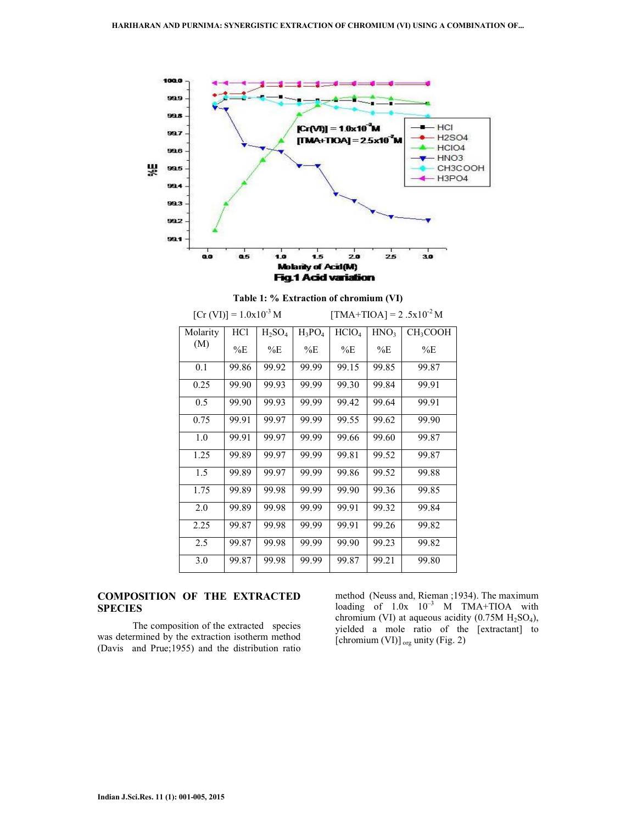

|  |  | Table 1: % Extraction of chromium (VI) |  |
|--|--|----------------------------------------|--|
|--|--|----------------------------------------|--|

| $[Cr (VI)] = 1.0x10^{-3} M$ |       |           |           | $\text{[TMA+TIOA]} = 2.5 \times 10^{-2} \text{M}$ |                  |                      |
|-----------------------------|-------|-----------|-----------|---------------------------------------------------|------------------|----------------------|
| Molarity                    | HCl   | $H_2SO_4$ | $H_3PO_4$ | HCIO <sub>4</sub>                                 | HNO <sub>3</sub> | CH <sub>3</sub> COOH |
| (M)                         | $\%E$ | %E        | %E        | %E                                                | %E               | %E                   |
| 0.1                         | 99.86 | 99.92     | 99.99     | 99.15                                             | 99.85            | 99.87                |
| 0.25                        | 99.90 | 99.93     | 99.99     | 99.30                                             | 99.84            | 99.91                |
| 0.5                         | 99.90 | 99.93     | 99.99     | 99.42                                             | 99.64            | 99.91                |
| 0.75                        | 99.91 | 99.97     | 99.99     | 99.55                                             | 99.62            | 99.90                |
| 1.0                         | 99.91 | 99.97     | 99.99     | 99.66                                             | 99.60            | 99.87                |
| 1.25                        | 99.89 | 99.97     | 99.99     | 99.81                                             | 99.52            | 99.87                |
| 1.5                         | 99.89 | 99.97     | 99.99     | 99.86                                             | 99.52            | 99.88                |
| 1.75                        | 99.89 | 99.98     | 99.99     | 99.90                                             | 99.36            | 99.85                |
| 2.0                         | 99.89 | 99.98     | 99.99     | 99.91                                             | 99.32            | 99.84                |
| 2.25                        | 99.87 | 99.98     | 99.99     | 99.91                                             | 99.26            | 99.82                |
| 2.5                         | 99.87 | 99.98     | 99.99     | 99.90                                             | 99.23            | 99.82                |
| 3.0                         | 99.87 | 99.98     | 99.99     | 99.87                                             | 99.21            | 99.80                |

### **COMPOSITION OF THE EXTRACTED SPECIES**

 The composition of the extracted species was determined by the extraction isotherm method (Davis and Prue;1955) and the distribution ratio

method (Neuss and, Rieman ;1934). The maximum loading of  $1.0x \t10^{-3}$  M TMA+TIOA with chromium (VI) at aqueous acidity  $(0.75M H<sub>2</sub>SO<sub>4</sub>)$ , yielded a mole ratio of the [extractant] to [chromium (VI)] <sub>org</sub> unity (Fig. 2)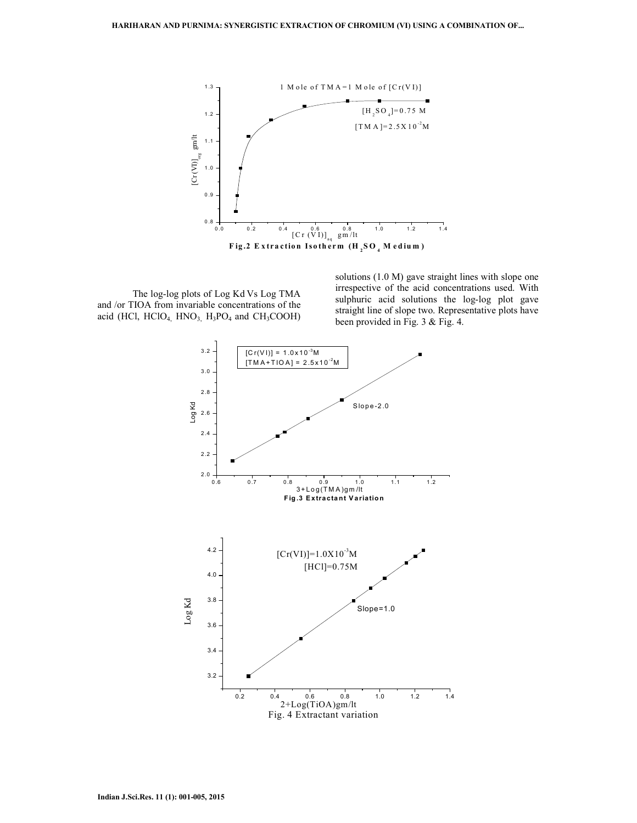

 The log-log plots of Log Kd Vs Log TMA and /or TIOA from invariable concentrations of the acid (HCl,  $HCIO<sub>4</sub> HNO<sub>3</sub> H<sub>3</sub>PO<sub>4</sub>$  and  $CH<sub>3</sub>COOH)$  solutions (1.0 M) gave straight lines with slope one irrespective of the acid concentrations used. With sulphuric acid solutions the log-log plot gave straight line of slope two. Representative plots have been provided in Fig. 3 & Fig. 4.